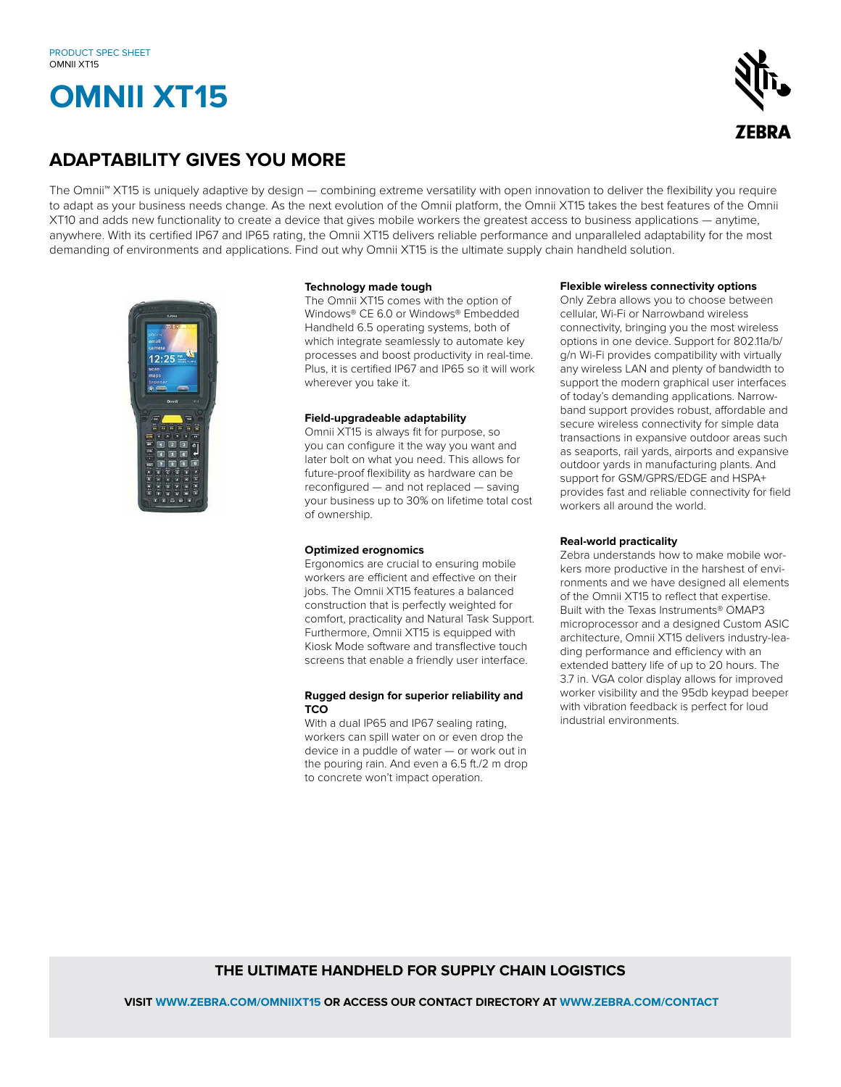# **OMNII XT15**



### **ADAPTABILITY GIVES YOU MORE**

The Omnii™ XT15 is uniquely adaptive by design — combining extreme versatility with open innovation to deliver the flexibility you require to adapt as your business needs change. As the next evolution of the Omnii platform, the Omnii XT15 takes the best features of the Omnii XT10 and adds new functionality to create a device that gives mobile workers the greatest access to business applications — anytime, anywhere. With its certified IP67 and IP65 rating, the Omnii XT15 delivers reliable performance and unparalleled adaptability for the most demanding of environments and applications. Find out why Omnii XT15 is the ultimate supply chain handheld solution.



#### **Technology made tough**

The Omnii XT15 comes with the option of Windows® CE 6.0 or Windows® Embedded Handheld 6.5 operating systems, both of which integrate seamlessly to automate key processes and boost productivity in real-time. Plus, it is certified IP67 and IP65 so it will work wherever you take it.

#### **Field-upgradeable adaptability**

Omnii XT15 is always fit for purpose, so you can configure it the way you want and later bolt on what you need. This allows for future-proof flexibility as hardware can be reconfigured — and not replaced — saving your business up to 30% on lifetime total cost of ownership.

#### **Optimized erognomics**

Ergonomics are crucial to ensuring mobile workers are efficient and effective on their jobs. The Omnii XT15 features a balanced construction that is perfectly weighted for comfort, practicality and Natural Task Support. Furthermore, Omnii XT15 is equipped with Kiosk Mode software and transflective touch screens that enable a friendly user interface.

#### **Rugged design for superior reliability and TCO**

With a dual IP65 and IP67 sealing rating, workers can spill water on or even drop the device in a puddle of water — or work out in the pouring rain. And even a 6.5 ft./2 m drop to concrete won't impact operation.

#### **Flexible wireless connectivity options**

Only Zebra allows you to choose between cellular, Wi-Fi or Narrowband wireless connectivity, bringing you the most wireless options in one device. Support for 802.11a/b/ g/n Wi-Fi provides compatibility with virtually any wireless LAN and plenty of bandwidth to support the modern graphical user interfaces of today's demanding applications. Narrowband support provides robust, affordable and secure wireless connectivity for simple data transactions in expansive outdoor areas such as seaports, rail yards, airports and expansive outdoor yards in manufacturing plants. And support for GSM/GPRS/EDGE and HSPA+ provides fast and reliable connectivity for field workers all around the world.

#### **Real-world practicality**

Zebra understands how to make mobile workers more productive in the harshest of environments and we have designed all elements of the Omnii XT15 to reflect that expertise. Built with the Texas Instruments® OMAP3 microprocessor and a designed Custom ASIC architecture, Omnii XT15 delivers industry-leading performance and efficiency with an extended battery life of up to 20 hours. The 3.7 in. VGA color display allows for improved worker visibility and the 95db keypad beeper with vibration feedback is perfect for loud industrial environments.

#### **THE ULTIMATE HANDHELD FOR SUPPLY CHAIN LOGISTICS**

 **VISIT WWW.ZEBRA.COM/OMNIIXT15 OR ACCESS OUR CONTACT DIRECTORY AT WWW.ZEBRA.COM/CONTACT**